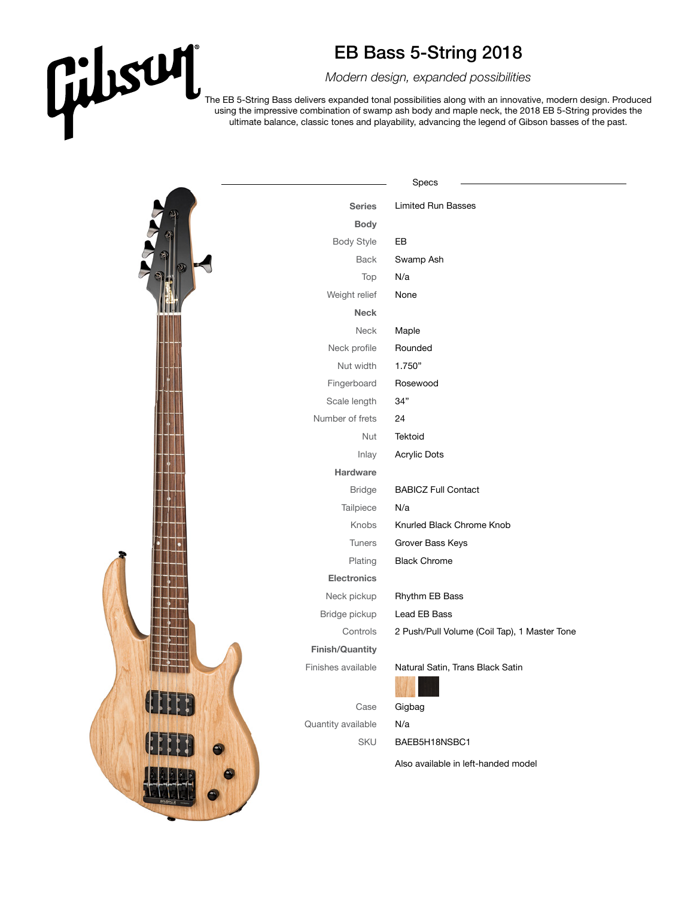## EB Bass 5-String 2018

*Modern design, expanded possibilities*

The EB 5-String Bass delivers expanded tonal possibilities along with an innovative, modern design. Produced using the impressive combination of swamp ash body and maple neck, the 2018 EB 5-String provides the ultimate balance, classic tones and playability, advancing the legend of Gibson basses of the past.

|                        | Specs                                        |
|------------------------|----------------------------------------------|
| <b>Series</b>          | <b>Limited Run Basses</b>                    |
| <b>Body</b>            |                                              |
| <b>Body Style</b>      | EB                                           |
| <b>Back</b>            | Swamp Ash                                    |
| Top                    | N/a                                          |
| Weight relief          | None                                         |
| <b>Neck</b>            |                                              |
| Neck                   | Maple                                        |
| Neck profile           | Rounded                                      |
| Nut width              | 1.750"                                       |
| Fingerboard            | Rosewood                                     |
| Scale length           | 34"                                          |
| Number of frets        | 24                                           |
| Nut                    | Tektoid                                      |
| Inlay                  | <b>Acrylic Dots</b>                          |
| Hardware               |                                              |
| <b>Bridge</b>          | <b>BABICZ Full Contact</b>                   |
| Tailpiece              | N/a                                          |
| Knobs                  | Knurled Black Chrome Knob                    |
| Tuners                 | Grover Bass Keys                             |
| Plating                | <b>Black Chrome</b>                          |
| <b>Electronics</b>     |                                              |
| Neck pickup            | Rhythm EB Bass                               |
| Bridge pickup          | Lead EB Bass                                 |
| Controls               | 2 Push/Pull Volume (Coil Tap), 1 Master Tone |
| <b>Finish/Quantity</b> |                                              |
| Finishes available     | Natural Satin, Trans Black Satin             |
| Case                   | Gigbag                                       |
| Quantity available     | N/a                                          |
| SKU                    | BAEB5H18NSBC1                                |
|                        | Also available in left-handed model          |